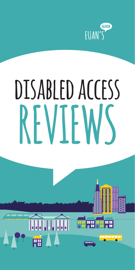

## **MAKING THE WORLD more accessible one review at a time disabled access REVIEWS**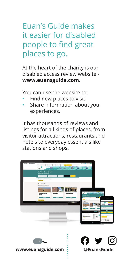Euan's Guide makes it easier for disabled people to find great places to go.

At the heart of the charity is our disabled access review website **www.euansguide.com.**

You can use the website to:

- **•** Find new places to visit
- **•** Share information about your experiences.

It has thousands of reviews and listings for all kinds of places, from visitor attractions, restaurants and hotels to everyday essentials like stations and shops.





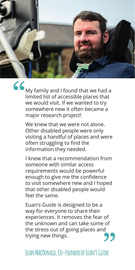

"

My family and I found that we had a limited list of accessible places that we would visit. If we wanted to try somewhere new it often became a major research project!

We knew that we were not alone. Other disabled people were only visiting a handful of places and were often struggling to find the information they needed.

I knew that a recommendation from someone with similar access requirements would be powerful enough to give me the confidence to visit somewhere new and I hoped that other disabled people would feel the same.

Euan's Guide is designed to be a way for everyone to share their experiences. It removes the fear of the unknown and can take some of the stress out of going places and trying new things. "

## **Euan MacDonald, Co-founder of Euan's Guide**